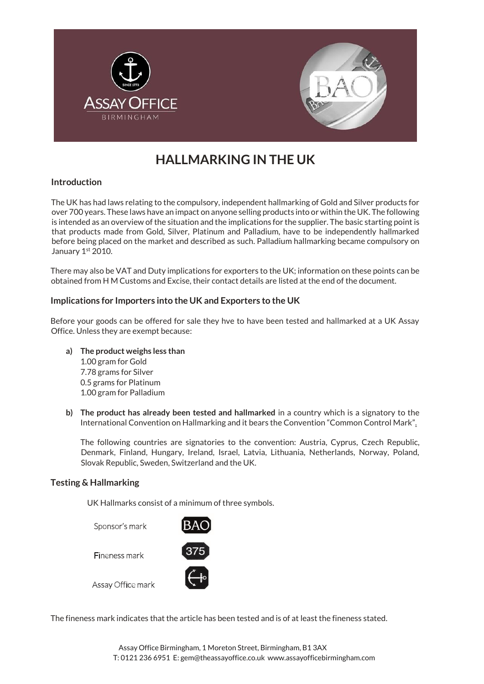

# **HALLMARKING IN THE UK**

## **Introduction**

The UK has had laws relating to the compulsory, independent hallmarking of Gold and Silver products for over 700 years. These laws have an impact on anyone selling products into or within the UK. The following is intended as an overview of the situation and the implications for the supplier. The basic starting point is that products made from Gold, Silver, Platinum and Palladium, have to be independently hallmarked before being placed on the market and described as such. Palladium hallmarking became compulsory on January 1st 2010.

There may also be VAT and Duty implications for exporters to the UK; information on these points can be obtained from H M Customs and Excise, their contact details are listed at the end of the document.

## **Implications for Importers into the UK and Exporters to the UK**

Before your goods can be offered for sale they hve to have been tested and hallmarked at a UK Assay Office. Unless they are exempt because:

- **a) The product weighs less than** 1.00 gram for Gold 7.78 grams for Silver 0.5 grams for Platinum 1.00 gram for Palladium
- **b) The product has already been tested and hallmarked** in a country which is a signatory to the International Convention on Hallmarking and it bears the Convention "Common Control Mark".

The following countries are signatories to the convention: Austria, Cyprus, Czech Republic, Denmark, Finland, Hungary, Ireland, Israel, Latvia, Lithuania, Netherlands, Norway, Poland, Slovak Republic, Sweden, Switzerland and the UK.

## **Testing & Hallmarking**

UK Hallmarks consist of a minimum of three symbols.

Sponsor's mark

Fineness mark



Assay Office mark İ

The fineness mark indicates that the article has been tested and is of at least the fineness stated.